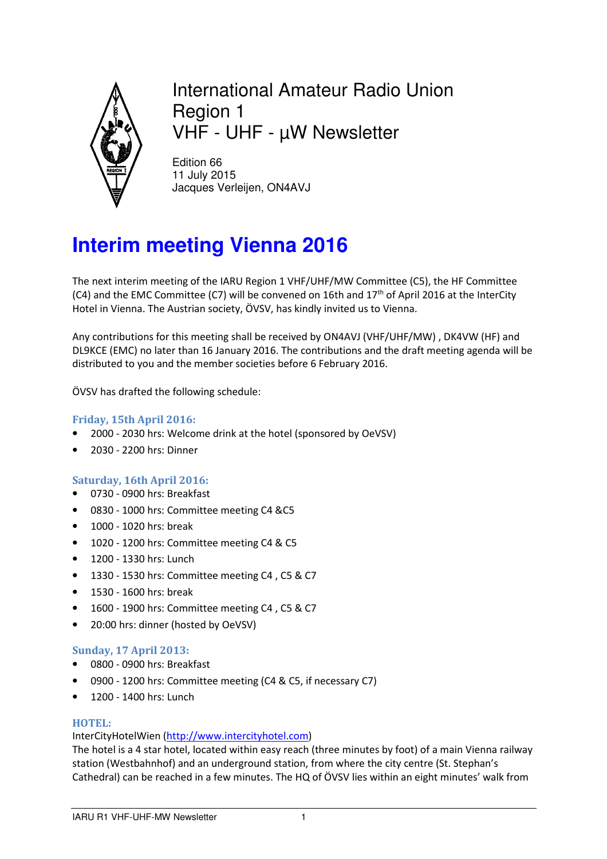

International Amateur Radio Union Region 1 VHF - UHF - µW Newsletter

Edition 66 11 July 2015 Jacques Verleijen, ON4AVJ

# **Interim meeting Vienna 2016**

The next interim meeting of the IARU Region 1 VHF/UHF/MW Committee (C5), the HF Committee (C4) and the EMC Committee (C7) will be convened on 16th and  $17<sup>th</sup>$  of April 2016 at the InterCity Hotel in Vienna. The Austrian society, ÖVSV, has kindly invited us to Vienna.

Any contributions for this meeting shall be received by ON4AVJ (VHF/UHF/MW) , DK4VW (HF) and DL9KCE (EMC) no later than 16 January 2016. The contributions and the draft meeting agenda will be distributed to you and the member societies before 6 February 2016.

ÖVSV has drafted the following schedule:

# **Friday, 15th April 2016:**

- 2000 2030 hrs: Welcome drink at the hotel (sponsored by OeVSV)
- 2030 2200 hrs: Dinner

# **Saturday, 16th April 2016:**

- 0730 0900 hrs: Breakfast
- 0830 1000 hrs: Committee meeting C4 &C5
- 1000 1020 hrs: break
- 1020 1200 hrs: Committee meeting C4 & C5
- 1200 1330 hrs: Lunch
- 1330 1530 hrs: Committee meeting C4 , C5 & C7
- 1530 1600 hrs: break
- 1600 1900 hrs: Committee meeting C4 , C5 & C7
- 20:00 hrs: dinner (hosted by OeVSV)

#### **Sunday, 17 April 2013:**

- 0800 0900 hrs: Breakfast
- 0900 1200 hrs: Committee meeting (C4 & C5, if necessary C7)
- 1200 1400 hrs: Lunch

#### **HOTEL:**

#### InterCityHotelWien (http://www.intercityhotel.com)

The hotel is a 4 star hotel, located within easy reach (three minutes by foot) of a main Vienna railway station (Westbahnhof) and an underground station, from where the city centre (St. Stephan's Cathedral) can be reached in a few minutes. The HQ of ÖVSV lies within an eight minutes' walk from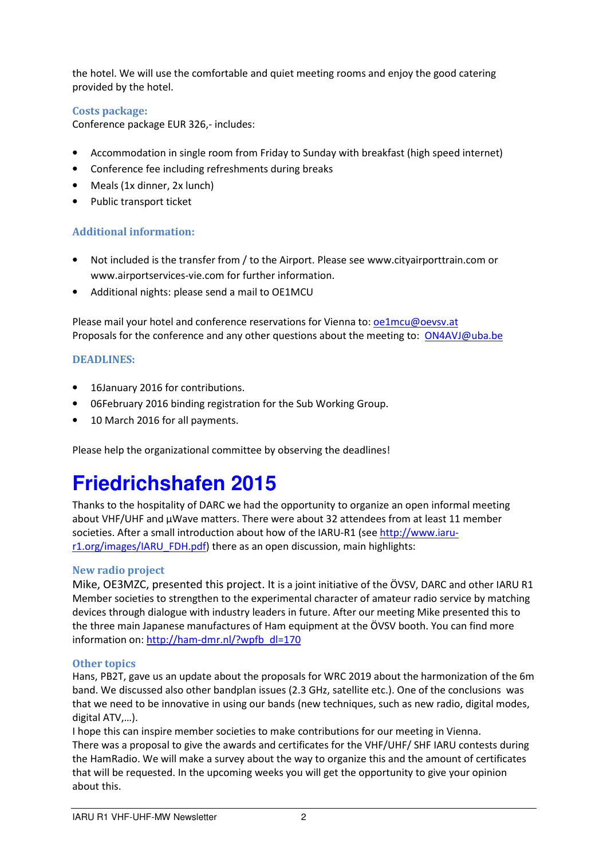the hotel. We will use the comfortable and quiet meeting rooms and enjoy the good catering provided by the hotel.

### **Costs package:**

Conference package EUR 326,- includes:

- Accommodation in single room from Friday to Sunday with breakfast (high speed internet)
- Conference fee including refreshments during breaks
- Meals (1x dinner, 2x lunch)
- Public transport ticket

# **Additional information:**

- Not included is the transfer from / to the Airport. Please see www.cityairporttrain.com or www.airportservices-vie.com for further information.
- Additional nights: please send a mail to OE1MCU

Please mail your hotel and conference reservations for Vienna to: oe1mcu@oevsv.at Proposals for the conference and any other questions about the meeting to: ON4AVJ@uba.be

### **DEADLINES:**

- 16January 2016 for contributions.
- 06February 2016 binding registration for the Sub Working Group.
- 10 March 2016 for all payments.

Please help the organizational committee by observing the deadlines!

# **Friedrichshafen 2015**

Thanks to the hospitality of DARC we had the opportunity to organize an open informal meeting about VHF/UHF and  $\mu$ Wave matters. There were about 32 attendees from at least 11 member societies. After a small introduction about how of the IARU-R1 (see http://www.iarur1.org/images/IARU\_FDH.pdf) there as an open discussion, main highlights:

#### **New radio project**

Mike, OE3MZC, presented this project. It is a joint initiative of the ÖVSV, DARC and other IARU R1 Member societies to strengthen to the experimental character of amateur radio service by matching devices through dialogue with industry leaders in future. After our meeting Mike presented this to the three main Japanese manufactures of Ham equipment at the ÖVSV booth. You can find more information on: http://ham-dmr.nl/?wpfb\_dl=170

#### **Other topics**

Hans, PB2T, gave us an update about the proposals for WRC 2019 about the harmonization of the 6m band. We discussed also other bandplan issues (2.3 GHz, satellite etc.). One of the conclusions was that we need to be innovative in using our bands (new techniques, such as new radio, digital modes, digital ATV,…).

I hope this can inspire member societies to make contributions for our meeting in Vienna. There was a proposal to give the awards and certificates for the VHF/UHF/ SHF IARU contests during the HamRadio. We will make a survey about the way to organize this and the amount of certificates that will be requested. In the upcoming weeks you will get the opportunity to give your opinion about this.